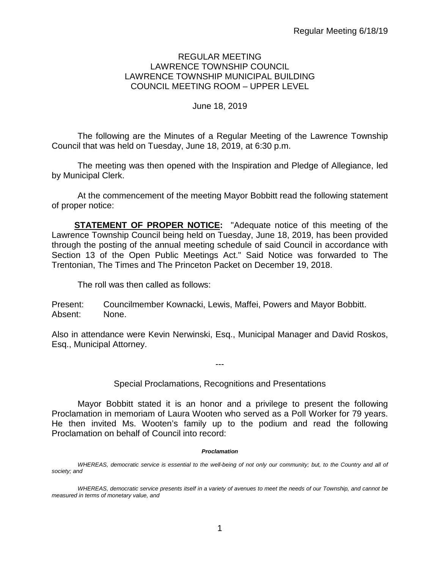### REGULAR MEETING LAWRENCE TOWNSHIP COUNCIL LAWRENCE TOWNSHIP MUNICIPAL BUILDING COUNCIL MEETING ROOM – UPPER LEVEL

#### June 18, 2019

The following are the Minutes of a Regular Meeting of the Lawrence Township Council that was held on Tuesday, June 18, 2019, at 6:30 p.m.

The meeting was then opened with the Inspiration and Pledge of Allegiance, led by Municipal Clerk.

At the commencement of the meeting Mayor Bobbitt read the following statement of proper notice:

**STATEMENT OF PROPER NOTICE:** "Adequate notice of this meeting of the Lawrence Township Council being held on Tuesday, June 18, 2019, has been provided through the posting of the annual meeting schedule of said Council in accordance with Section 13 of the Open Public Meetings Act." Said Notice was forwarded to The Trentonian, The Times and The Princeton Packet on December 19, 2018.

The roll was then called as follows:

Present: Councilmember Kownacki, Lewis, Maffei, Powers and Mayor Bobbitt. Absent: None.

Also in attendance were Kevin Nerwinski, Esq., Municipal Manager and David Roskos, Esq., Municipal Attorney.

Special Proclamations, Recognitions and Presentations

---

Mayor Bobbitt stated it is an honor and a privilege to present the following Proclamation in memoriam of Laura Wooten who served as a Poll Worker for 79 years. He then invited Ms. Wooten's family up to the podium and read the following Proclamation on behalf of Council into record:

#### *Proclamation*

*WHEREAS, democratic service is essential to the well-being of not only our community; but, to the Country and all of society; and*

*WHEREAS, democratic service presents itself in a variety of avenues to meet the needs of our Township, and cannot be measured in terms of monetary value, and*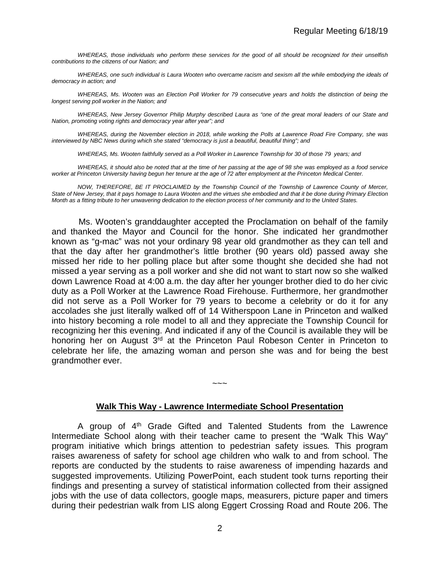*WHEREAS, those individuals who perform these services for the good of all should be recognized for their unselfish contributions to the citizens of our Nation; and*

*WHEREAS, one such individual is Laura Wooten who overcame racism and sexism all the while embodying the ideals of democracy in action; and*

*WHEREAS, Ms. Wooten was an Election Poll Worker for 79 consecutive years and holds the distinction of being the longest serving poll worker in the Nation; and*

WHEREAS, New Jersey Governor Philip Murphy described Laura as "one of the great moral leaders of our State and *Nation, promoting voting rights and democracy year after year"; and*

*WHEREAS, during the November election in 2018, while working the Polls at Lawrence Road Fire Company, she was interviewed by NBC News during which she stated "democracy is just a beautiful, beautiful thing"; and*

*WHEREAS, Ms. Wooten faithfully served as a Poll Worker in Lawrence Township for 30 of those 79 years; and*

*WHEREAS, it should also be noted that at the time of her passing at the age of 98 she was employed as a food service worker at Princeton University having begun her tenure at the age of 72 after employment at the Princeton Medical Center.*

*NOW, THEREFORE, BE IT PROCLAIMED by the Township Council of the Township of Lawrence County of Mercer, State of New Jersey, that it pays homage to Laura Wooten and the virtues she embodied and that it be done during Primary Election Month as a fitting tribute to her unwavering dedication to the election process of her community and to the United States.*

Ms. Wooten's granddaughter accepted the Proclamation on behalf of the family and thanked the Mayor and Council for the honor. She indicated her grandmother known as "g-mac" was not your ordinary 98 year old grandmother as they can tell and that the day after her grandmother's little brother (90 years old) passed away she missed her ride to her polling place but after some thought she decided she had not missed a year serving as a poll worker and she did not want to start now so she walked down Lawrence Road at 4:00 a.m. the day after her younger brother died to do her civic duty as a Poll Worker at the Lawrence Road Firehouse. Furthermore, her grandmother did not serve as a Poll Worker for 79 years to become a celebrity or do it for any accolades she just literally walked off of 14 Witherspoon Lane in Princeton and walked into history becoming a role model to all and they appreciate the Township Council for recognizing her this evening. And indicated if any of the Council is available they will be honoring her on August 3<sup>rd</sup> at the Princeton Paul Robeson Center in Princeton to celebrate her life, the amazing woman and person she was and for being the best grandmother ever.

#### **Walk This Way - Lawrence Intermediate School Presentation**

 $\sim\sim\sim$ 

A group of 4<sup>th</sup> Grade Gifted and Talented Students from the Lawrence Intermediate School along with their teacher came to present the "Walk This Way" program initiative which brings attention to pedestrian safety issues*.* This program raises awareness of safety for school age children who walk to and from school. The reports are conducted by the students to raise awareness of impending hazards and suggested improvements. Utilizing PowerPoint, each student took turns reporting their findings and presenting a survey of statistical information collected from their assigned jobs with the use of data collectors, google maps, measurers, picture paper and timers during their pedestrian walk from LIS along Eggert Crossing Road and Route 206. The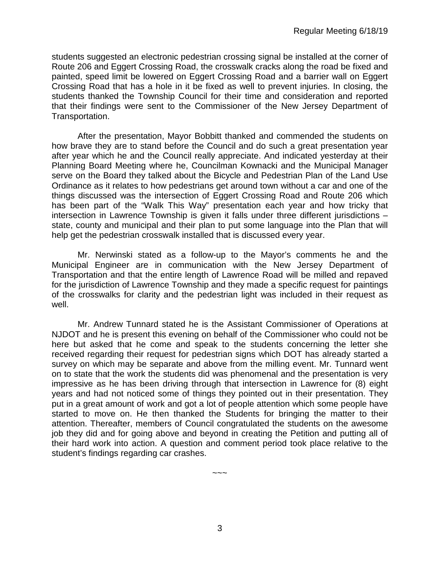students suggested an electronic pedestrian crossing signal be installed at the corner of Route 206 and Eggert Crossing Road, the crosswalk cracks along the road be fixed and painted, speed limit be lowered on Eggert Crossing Road and a barrier wall on Eggert Crossing Road that has a hole in it be fixed as well to prevent injuries. In closing, the students thanked the Township Council for their time and consideration and reported that their findings were sent to the Commissioner of the New Jersey Department of Transportation.

After the presentation, Mayor Bobbitt thanked and commended the students on how brave they are to stand before the Council and do such a great presentation year after year which he and the Council really appreciate. And indicated yesterday at their Planning Board Meeting where he, Councilman Kownacki and the Municipal Manager serve on the Board they talked about the Bicycle and Pedestrian Plan of the Land Use Ordinance as it relates to how pedestrians get around town without a car and one of the things discussed was the intersection of Eggert Crossing Road and Route 206 which has been part of the "Walk This Way" presentation each year and how tricky that intersection in Lawrence Township is given it falls under three different jurisdictions – state, county and municipal and their plan to put some language into the Plan that will help get the pedestrian crosswalk installed that is discussed every year.

Mr. Nerwinski stated as a follow-up to the Mayor's comments he and the Municipal Engineer are in communication with the New Jersey Department of Transportation and that the entire length of Lawrence Road will be milled and repaved for the jurisdiction of Lawrence Township and they made a specific request for paintings of the crosswalks for clarity and the pedestrian light was included in their request as well.

Mr. Andrew Tunnard stated he is the Assistant Commissioner of Operations at NJDOT and he is present this evening on behalf of the Commissioner who could not be here but asked that he come and speak to the students concerning the letter she received regarding their request for pedestrian signs which DOT has already started a survey on which may be separate and above from the milling event. Mr. Tunnard went on to state that the work the students did was phenomenal and the presentation is very impressive as he has been driving through that intersection in Lawrence for (8) eight years and had not noticed some of things they pointed out in their presentation. They put in a great amount of work and got a lot of people attention which some people have started to move on. He then thanked the Students for bringing the matter to their attention. Thereafter, members of Council congratulated the students on the awesome job they did and for going above and beyond in creating the Petition and putting all of their hard work into action. A question and comment period took place relative to the student's findings regarding car crashes.

 $\sim\sim\sim$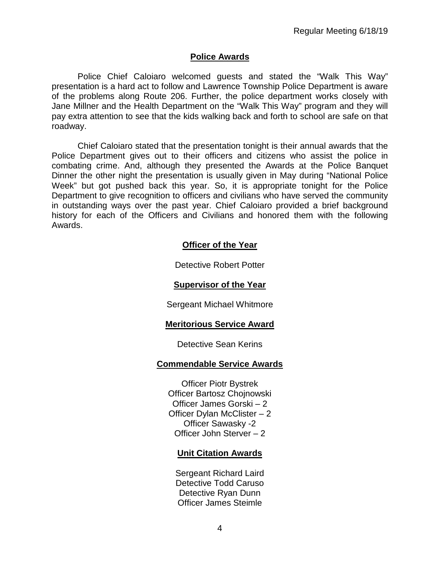### **Police Awards**

Police Chief Caloiaro welcomed guests and stated the "Walk This Way" presentation is a hard act to follow and Lawrence Township Police Department is aware of the problems along Route 206. Further, the police department works closely with Jane Millner and the Health Department on the "Walk This Way" program and they will pay extra attention to see that the kids walking back and forth to school are safe on that roadway.

Chief Caloiaro stated that the presentation tonight is their annual awards that the Police Department gives out to their officers and citizens who assist the police in combating crime. And, although they presented the Awards at the Police Banquet Dinner the other night the presentation is usually given in May during "National Police Week" but got pushed back this year. So, it is appropriate tonight for the Police Department to give recognition to officers and civilians who have served the community in outstanding ways over the past year. Chief Caloiaro provided a brief background history for each of the Officers and Civilians and honored them with the following Awards.

### **Officer of the Year**

Detective Robert Potter

#### **Supervisor of the Year**

Sergeant Michael Whitmore

### **Meritorious Service Award**

#### Detective Sean Kerins

### **Commendable Service Awards**

Officer Piotr Bystrek Officer Bartosz Chojnowski Officer James Gorski – 2 Officer Dylan McClister – 2 Officer Sawasky -2 Officer John Sterver – 2

### **Unit Citation Awards**

Sergeant Richard Laird Detective Todd Caruso Detective Ryan Dunn Officer James Steimle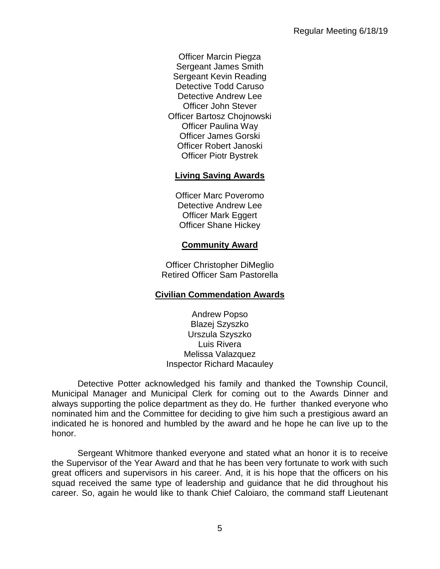Officer Marcin Piegza Sergeant James Smith Sergeant Kevin Reading Detective Todd Caruso Detective Andrew Lee Officer John Stever Officer Bartosz Chojnowski Officer Paulina Way Officer James Gorski Officer Robert Janoski Officer Piotr Bystrek

# **Living Saving Awards**

Officer Marc Poveromo Detective Andrew Lee Officer Mark Eggert Officer Shane Hickey

## **Community Award**

Officer Christopher DiMeglio Retired Officer Sam Pastorella

# **Civilian Commendation Awards**

Andrew Popso Blazej Szyszko Urszula Szyszko Luis Rivera Melissa Valazquez Inspector Richard Macauley

Detective Potter acknowledged his family and thanked the Township Council, Municipal Manager and Municipal Clerk for coming out to the Awards Dinner and always supporting the police department as they do. He further thanked everyone who nominated him and the Committee for deciding to give him such a prestigious award an indicated he is honored and humbled by the award and he hope he can live up to the honor.

Sergeant Whitmore thanked everyone and stated what an honor it is to receive the Supervisor of the Year Award and that he has been very fortunate to work with such great officers and supervisors in his career. And, it is his hope that the officers on his squad received the same type of leadership and guidance that he did throughout his career. So, again he would like to thank Chief Caloiaro, the command staff Lieutenant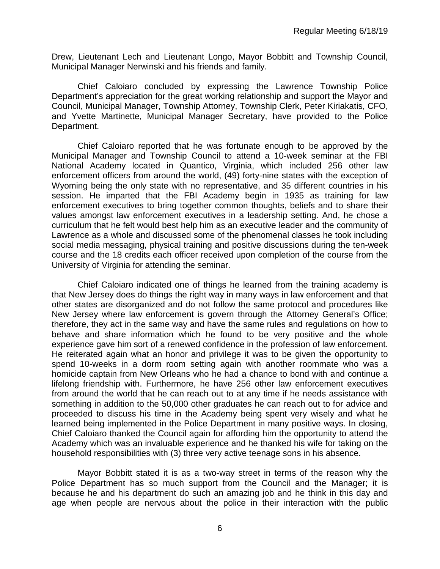Drew, Lieutenant Lech and Lieutenant Longo, Mayor Bobbitt and Township Council, Municipal Manager Nerwinski and his friends and family.

Chief Caloiaro concluded by expressing the Lawrence Township Police Department's appreciation for the great working relationship and support the Mayor and Council, Municipal Manager, Township Attorney, Township Clerk, Peter Kiriakatis, CFO, and Yvette Martinette, Municipal Manager Secretary, have provided to the Police Department.

Chief Caloiaro reported that he was fortunate enough to be approved by the Municipal Manager and Township Council to attend a 10-week seminar at the FBI National Academy located in Quantico, Virginia, which included 256 other law enforcement officers from around the world, (49) forty-nine states with the exception of Wyoming being the only state with no representative, and 35 different countries in his session. He imparted that the FBI Academy begin in 1935 as training for law enforcement executives to bring together common thoughts, beliefs and to share their values amongst law enforcement executives in a leadership setting. And, he chose a curriculum that he felt would best help him as an executive leader and the community of Lawrence as a whole and discussed some of the phenomenal classes he took including social media messaging, physical training and positive discussions during the ten-week course and the 18 credits each officer received upon completion of the course from the University of Virginia for attending the seminar.

Chief Caloiaro indicated one of things he learned from the training academy is that New Jersey does do things the right way in many ways in law enforcement and that other states are disorganized and do not follow the same protocol and procedures like New Jersey where law enforcement is govern through the Attorney General's Office; therefore, they act in the same way and have the same rules and regulations on how to behave and share information which he found to be very positive and the whole experience gave him sort of a renewed confidence in the profession of law enforcement. He reiterated again what an honor and privilege it was to be given the opportunity to spend 10-weeks in a dorm room setting again with another roommate who was a homicide captain from New Orleans who he had a chance to bond with and continue a lifelong friendship with. Furthermore, he have 256 other law enforcement executives from around the world that he can reach out to at any time if he needs assistance with something in addition to the 50,000 other graduates he can reach out to for advice and proceeded to discuss his time in the Academy being spent very wisely and what he learned being implemented in the Police Department in many positive ways. In closing, Chief Caloiaro thanked the Council again for affording him the opportunity to attend the Academy which was an invaluable experience and he thanked his wife for taking on the household responsibilities with (3) three very active teenage sons in his absence.

Mayor Bobbitt stated it is as a two-way street in terms of the reason why the Police Department has so much support from the Council and the Manager; it is because he and his department do such an amazing job and he think in this day and age when people are nervous about the police in their interaction with the public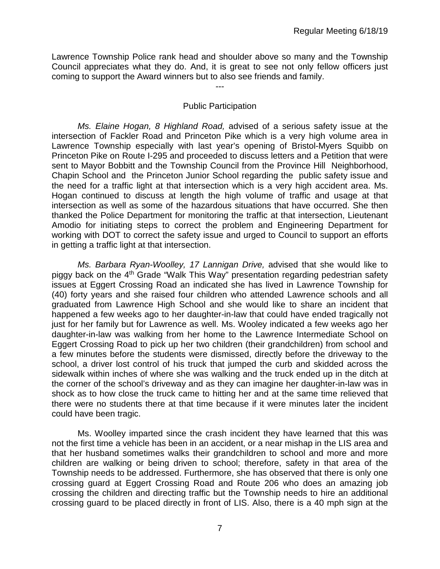Lawrence Township Police rank head and shoulder above so many and the Township Council appreciates what they do. And, it is great to see not only fellow officers just coming to support the Award winners but to also see friends and family.

### Public Participation

*---*

*Ms. Elaine Hogan, 8 Highland Road,* advised of a serious safety issue at the intersection of Fackler Road and Princeton Pike which is a very high volume area in Lawrence Township especially with last year's opening of Bristol-Myers Squibb on Princeton Pike on Route I-295 and proceeded to discuss letters and a Petition that were sent to Mayor Bobbitt and the Township Council from the Province Hill Neighborhood, Chapin School and the Princeton Junior School regarding the public safety issue and the need for a traffic light at that intersection which is a very high accident area. Ms. Hogan continued to discuss at length the high volume of traffic and usage at that intersection as well as some of the hazardous situations that have occurred. She then thanked the Police Department for monitoring the traffic at that intersection, Lieutenant Amodio for initiating steps to correct the problem and Engineering Department for working with DOT to correct the safety issue and urged to Council to support an efforts in getting a traffic light at that intersection.

*Ms. Barbara Ryan-Woolley, 17 Lannigan Drive,* advised that she would like to piggy back on the 4<sup>th</sup> Grade "Walk This Way" presentation regarding pedestrian safety issues at Eggert Crossing Road an indicated she has lived in Lawrence Township for (40) forty years and she raised four children who attended Lawrence schools and all graduated from Lawrence High School and she would like to share an incident that happened a few weeks ago to her daughter-in-law that could have ended tragically not just for her family but for Lawrence as well. Ms. Wooley indicated a few weeks ago her daughter-in-law was walking from her home to the Lawrence Intermediate School on Eggert Crossing Road to pick up her two children (their grandchildren) from school and a few minutes before the students were dismissed, directly before the driveway to the school, a driver lost control of his truck that jumped the curb and skidded across the sidewalk within inches of where she was walking and the truck ended up in the ditch at the corner of the school's driveway and as they can imagine her daughter-in-law was in shock as to how close the truck came to hitting her and at the same time relieved that there were no students there at that time because if it were minutes later the incident could have been tragic.

Ms. Woolley imparted since the crash incident they have learned that this was not the first time a vehicle has been in an accident, or a near mishap in the LIS area and that her husband sometimes walks their grandchildren to school and more and more children are walking or being driven to school; therefore, safety in that area of the Township needs to be addressed. Furthermore, she has observed that there is only one crossing guard at Eggert Crossing Road and Route 206 who does an amazing job crossing the children and directing traffic but the Township needs to hire an additional crossing guard to be placed directly in front of LIS. Also, there is a 40 mph sign at the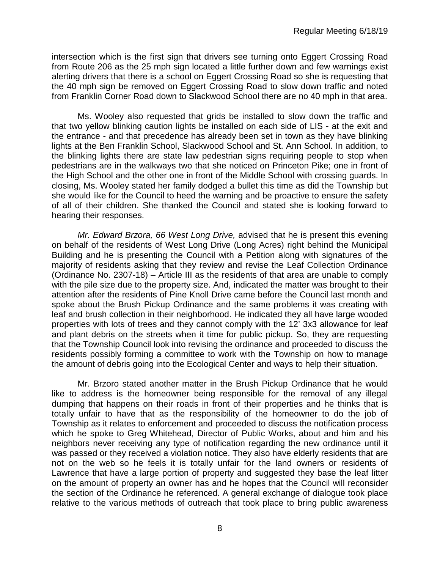intersection which is the first sign that drivers see turning onto Eggert Crossing Road from Route 206 as the 25 mph sign located a little further down and few warnings exist alerting drivers that there is a school on Eggert Crossing Road so she is requesting that the 40 mph sign be removed on Eggert Crossing Road to slow down traffic and noted from Franklin Corner Road down to Slackwood School there are no 40 mph in that area.

Ms. Wooley also requested that grids be installed to slow down the traffic and that two yellow blinking caution lights be installed on each side of LIS - at the exit and the entrance - and that precedence has already been set in town as they have blinking lights at the Ben Franklin School, Slackwood School and St. Ann School. In addition, to the blinking lights there are state law pedestrian signs requiring people to stop when pedestrians are in the walkways two that she noticed on Princeton Pike; one in front of the High School and the other one in front of the Middle School with crossing guards. In closing, Ms. Wooley stated her family dodged a bullet this time as did the Township but she would like for the Council to heed the warning and be proactive to ensure the safety of all of their children. She thanked the Council and stated she is looking forward to hearing their responses.

*Mr. Edward Brzora, 66 West Long Drive,* advised that he is present this evening on behalf of the residents of West Long Drive (Long Acres) right behind the Municipal Building and he is presenting the Council with a Petition along with signatures of the majority of residents asking that they review and revise the Leaf Collection Ordinance (Ordinance No. 2307-18) – Article III as the residents of that area are unable to comply with the pile size due to the property size. And, indicated the matter was brought to their attention after the residents of Pine Knoll Drive came before the Council last month and spoke about the Brush Pickup Ordinance and the same problems it was creating with leaf and brush collection in their neighborhood. He indicated they all have large wooded properties with lots of trees and they cannot comply with the 12' 3x3 allowance for leaf and plant debris on the streets when it time for public pickup. So, they are requesting that the Township Council look into revising the ordinance and proceeded to discuss the residents possibly forming a committee to work with the Township on how to manage the amount of debris going into the Ecological Center and ways to help their situation.

Mr. Brzoro stated another matter in the Brush Pickup Ordinance that he would like to address is the homeowner being responsible for the removal of any illegal dumping that happens on their roads in front of their properties and he thinks that is totally unfair to have that as the responsibility of the homeowner to do the job of Township as it relates to enforcement and proceeded to discuss the notification process which he spoke to Greg Whitehead, Director of Public Works, about and him and his neighbors never receiving any type of notification regarding the new ordinance until it was passed or they received a violation notice. They also have elderly residents that are not on the web so he feels it is totally unfair for the land owners or residents of Lawrence that have a large portion of property and suggested they base the leaf litter on the amount of property an owner has and he hopes that the Council will reconsider the section of the Ordinance he referenced. A general exchange of dialogue took place relative to the various methods of outreach that took place to bring public awareness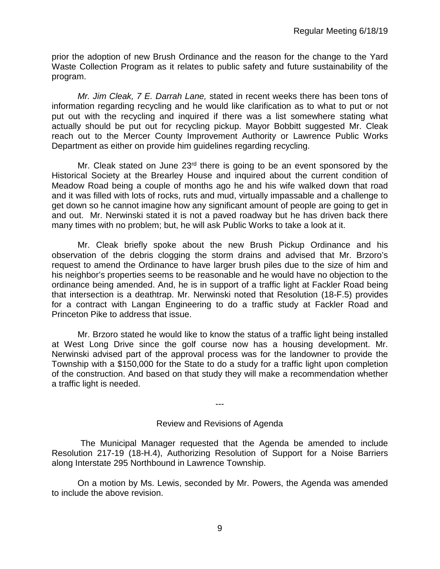prior the adoption of new Brush Ordinance and the reason for the change to the Yard Waste Collection Program as it relates to public safety and future sustainability of the program.

*Mr. Jim Cleak, 7 E. Darrah Lane,* stated in recent weeks there has been tons of information regarding recycling and he would like clarification as to what to put or not put out with the recycling and inquired if there was a list somewhere stating what actually should be put out for recycling pickup. Mayor Bobbitt suggested Mr. Cleak reach out to the Mercer County Improvement Authority or Lawrence Public Works Department as either on provide him guidelines regarding recycling.

Mr. Cleak stated on June  $23<sup>rd</sup>$  there is going to be an event sponsored by the Historical Society at the Brearley House and inquired about the current condition of Meadow Road being a couple of months ago he and his wife walked down that road and it was filled with lots of rocks, ruts and mud, virtually impassable and a challenge to get down so he cannot imagine how any significant amount of people are going to get in and out. Mr. Nerwinski stated it is not a paved roadway but he has driven back there many times with no problem; but, he will ask Public Works to take a look at it.

Mr. Cleak briefly spoke about the new Brush Pickup Ordinance and his observation of the debris clogging the storm drains and advised that Mr. Brzoro's request to amend the Ordinance to have larger brush piles due to the size of him and his neighbor's properties seems to be reasonable and he would have no objection to the ordinance being amended. And, he is in support of a traffic light at Fackler Road being that intersection is a deathtrap. Mr. Nerwinski noted that Resolution (18-F.5) provides for a contract with Langan Engineering to do a traffic study at Fackler Road and Princeton Pike to address that issue.

Mr. Brzoro stated he would like to know the status of a traffic light being installed at West Long Drive since the golf course now has a housing development. Mr. Nerwinski advised part of the approval process was for the landowner to provide the Township with a \$150,000 for the State to do a study for a traffic light upon completion of the construction. And based on that study they will make a recommendation whether a traffic light is needed.

---

#### Review and Revisions of Agenda

 The Municipal Manager requested that the Agenda be amended to include Resolution 217-19 (18-H.4), Authorizing Resolution of Support for a Noise Barriers along Interstate 295 Northbound in Lawrence Township.

On a motion by Ms. Lewis, seconded by Mr. Powers, the Agenda was amended to include the above revision.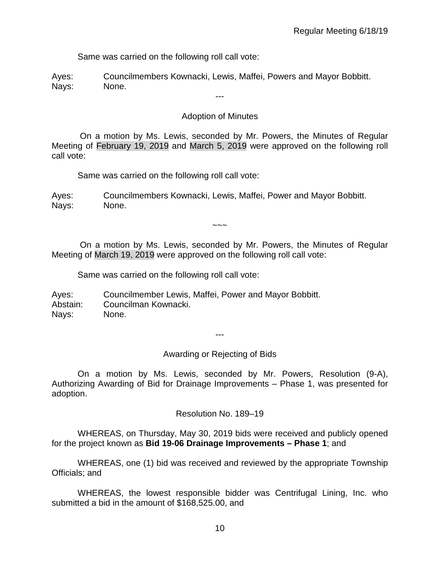Same was carried on the following roll call vote:

Ayes: Councilmembers Kownacki, Lewis, Maffei, Powers and Mayor Bobbitt. Nays: None.

## Adoption of Minutes

---

On a motion by Ms. Lewis, seconded by Mr. Powers, the Minutes of Regular Meeting of February 19, 2019 and March 5, 2019 were approved on the following roll call vote:

Same was carried on the following roll call vote:

Ayes: Councilmembers Kownacki, Lewis, Maffei, Power and Mayor Bobbitt. Nays: None.

 $\sim\sim\sim$ 

On a motion by Ms. Lewis, seconded by Mr. Powers, the Minutes of Regular Meeting of March 19, 2019 were approved on the following roll call vote:

Same was carried on the following roll call vote:

Ayes: Councilmember Lewis, Maffei, Power and Mayor Bobbitt. Abstain: Councilman Kownacki. Nays: None.

---

Awarding or Rejecting of Bids

On a motion by Ms. Lewis, seconded by Mr. Powers, Resolution (9-A), Authorizing Awarding of Bid for Drainage Improvements – Phase 1, was presented for adoption.

Resolution No. 189–19

WHEREAS, on Thursday, May 30, 2019 bids were received and publicly opened for the project known as **Bid 19-06 Drainage Improvements – Phase 1**; and

WHEREAS, one (1) bid was received and reviewed by the appropriate Township Officials; and

WHEREAS, the lowest responsible bidder was Centrifugal Lining, Inc. who submitted a bid in the amount of \$168,525.00, and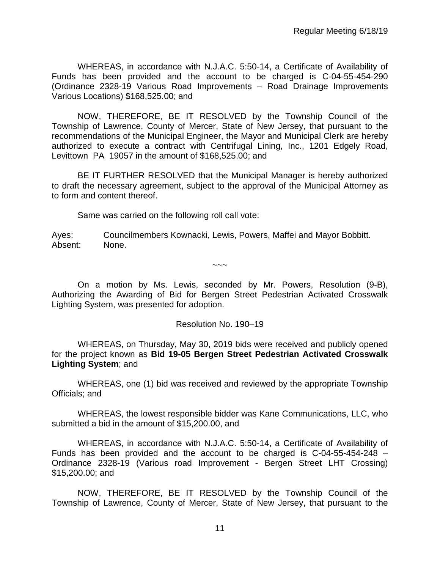WHEREAS, in accordance with N.J.A.C. 5:50-14, a Certificate of Availability of Funds has been provided and the account to be charged is C-04-55-454-290 (Ordinance 2328-19 Various Road Improvements – Road Drainage Improvements Various Locations) \$168,525.00; and

NOW, THEREFORE, BE IT RESOLVED by the Township Council of the Township of Lawrence, County of Mercer, State of New Jersey, that pursuant to the recommendations of the Municipal Engineer, the Mayor and Municipal Clerk are hereby authorized to execute a contract with Centrifugal Lining, Inc., 1201 Edgely Road, Levittown PA 19057 in the amount of \$168,525.00; and

BE IT FURTHER RESOLVED that the Municipal Manager is hereby authorized to draft the necessary agreement, subject to the approval of the Municipal Attorney as to form and content thereof.

Same was carried on the following roll call vote:

Ayes: Councilmembers Kownacki, Lewis, Powers, Maffei and Mayor Bobbitt. Absent: None.

On a motion by Ms. Lewis, seconded by Mr. Powers, Resolution (9-B), Authorizing the Awarding of Bid for Bergen Street Pedestrian Activated Crosswalk Lighting System, was presented for adoption.

 $\sim\sim\sim$ 

### Resolution No. 190–19

WHEREAS, on Thursday, May 30, 2019 bids were received and publicly opened for the project known as **Bid 19-05 Bergen Street Pedestrian Activated Crosswalk Lighting System**; and

WHEREAS, one (1) bid was received and reviewed by the appropriate Township Officials; and

WHEREAS, the lowest responsible bidder was Kane Communications, LLC, who submitted a bid in the amount of \$15,200.00, and

WHEREAS, in accordance with N.J.A.C. 5:50-14, a Certificate of Availability of Funds has been provided and the account to be charged is C-04-55-454-248 – Ordinance 2328-19 (Various road Improvement - Bergen Street LHT Crossing) \$15,200.00; and

NOW, THEREFORE, BE IT RESOLVED by the Township Council of the Township of Lawrence, County of Mercer, State of New Jersey, that pursuant to the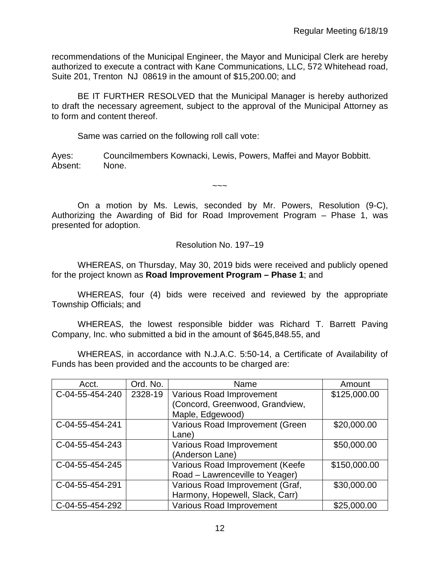recommendations of the Municipal Engineer, the Mayor and Municipal Clerk are hereby authorized to execute a contract with Kane Communications, LLC, 572 Whitehead road, Suite 201, Trenton NJ 08619 in the amount of \$15,200.00; and

BE IT FURTHER RESOLVED that the Municipal Manager is hereby authorized to draft the necessary agreement, subject to the approval of the Municipal Attorney as to form and content thereof.

Same was carried on the following roll call vote:

Ayes: Councilmembers Kownacki, Lewis, Powers, Maffei and Mayor Bobbitt. Absent: None.

On a motion by Ms. Lewis, seconded by Mr. Powers, Resolution (9-C), Authorizing the Awarding of Bid for Road Improvement Program – Phase 1, was presented for adoption.

 $\sim\sim\sim$ 

Resolution No. 197–19

WHEREAS, on Thursday, May 30, 2019 bids were received and publicly opened for the project known as **Road Improvement Program – Phase 1**; and

WHEREAS, four (4) bids were received and reviewed by the appropriate Township Officials; and

WHEREAS, the lowest responsible bidder was Richard T. Barrett Paving Company, Inc. who submitted a bid in the amount of \$645,848.55, and

WHEREAS, in accordance with N.J.A.C. 5:50-14, a Certificate of Availability of Funds has been provided and the accounts to be charged are:

| Acct.           | Ord. No. | Name                            | Amount       |
|-----------------|----------|---------------------------------|--------------|
| C-04-55-454-240 | 2328-19  | <b>Various Road Improvement</b> | \$125,000.00 |
|                 |          | (Concord, Greenwood, Grandview, |              |
|                 |          | Maple, Edgewood)                |              |
| C-04-55-454-241 |          | Various Road Improvement (Green | \$20,000.00  |
|                 |          | Lane)                           |              |
| C-04-55-454-243 |          | <b>Various Road Improvement</b> | \$50,000.00  |
|                 |          | (Anderson Lane)                 |              |
| C-04-55-454-245 |          | Various Road Improvement (Keefe | \$150,000.00 |
|                 |          | Road - Lawrenceville to Yeager) |              |
| C-04-55-454-291 |          | Various Road Improvement (Graf, | \$30,000.00  |
|                 |          | Harmony, Hopewell, Slack, Carr) |              |
| C-04-55-454-292 |          | <b>Various Road Improvement</b> | \$25,000.00  |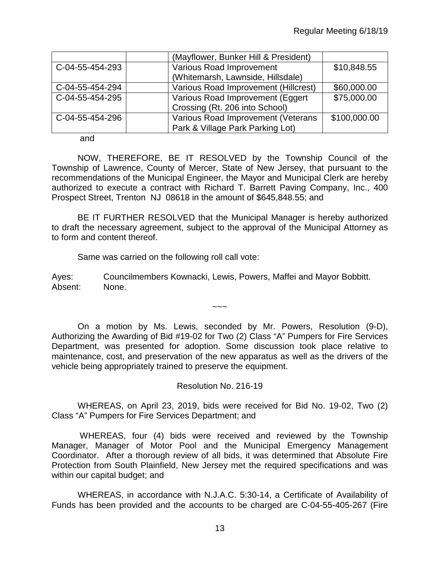|                 | (Mayflower, Bunker Hill & President) |              |
|-----------------|--------------------------------------|--------------|
| C-04-55-454-293 | Various Road Improvement             | \$10,848.55  |
|                 | (Whitemarsh, Lawnside, Hillsdale)    |              |
| C-04-55-454-294 | Various Road Improvement (Hillcrest) | \$60,000.00  |
| C-04-55-454-295 | Various Road Improvement (Eggert     | \$75,000.00  |
|                 | Crossing (Rt. 206 into School)       |              |
| C-04-55-454-296 | Various Road Improvement (Veterans   | \$100,000.00 |
|                 | Park & Village Park Parking Lot)     |              |

and

NOW, THEREFORE, BE IT RESOLVED by the Township Council of the Township of Lawrence, County of Mercer, State of New Jersey, that pursuant to the recommendations of the Municipal Engineer, the Mayor and Municipal Clerk are hereby authorized to execute a contract with Richard T. Barrett Paving Company, Inc., 400 Prospect Street, Trenton NJ 08618 in the amount of \$645,848.55; and

BE IT FURTHER RESOLVED that the Municipal Manager is hereby authorized to draft the necessary agreement, subject to the approval of the Municipal Attorney as to form and content thereof.

Same was carried on the following roll call vote:

Ayes: Councilmembers Kownacki, Lewis, Powers, Maffei and Mayor Bobbitt. Absent: None.

On a motion by Ms. Lewis, seconded by Mr. Powers, Resolution (9-D), Authorizing the Awarding of Bid #19-02 for Two (2) Class "A" Pumpers for Fire Services Department, was presented for adoption. Some discussion took place relative to maintenance, cost, and preservation of the new apparatus as well as the drivers of the vehicle being appropriately trained to preserve the equipment.

 $\sim\sim\sim$ 

Resolution No. 216-19

WHEREAS, on April 23, 2019, bids were received for Bid No. 19-02, Two (2) Class "A" Pumpers for Fire Services Department; and

WHEREAS, four (4) bids were received and reviewed by the Township Manager, Manager of Motor Pool and the Municipal Emergency Management Coordinator. After a thorough review of all bids, it was determined that Absolute Fire Protection from South Plainfield, New Jersey met the required specifications and was within our capital budget; and

WHEREAS, in accordance with N.J.A.C. 5:30-14, a Certificate of Availability of Funds has been provided and the accounts to be charged are C-04-55-405-267 (Fire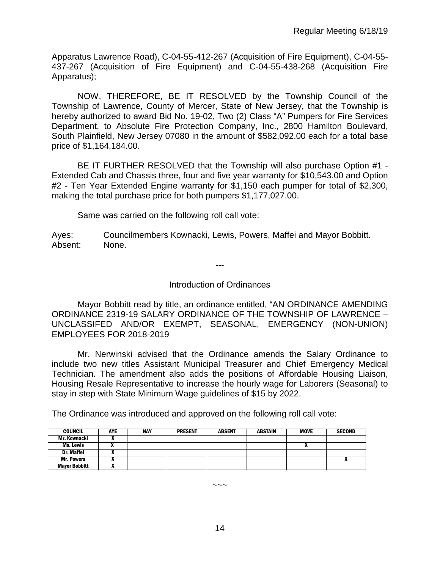Apparatus Lawrence Road), C-04-55-412-267 (Acquisition of Fire Equipment), C-04-55- 437-267 (Acquisition of Fire Equipment) and C-04-55-438-268 (Acquisition Fire Apparatus);

NOW, THEREFORE, BE IT RESOLVED by the Township Council of the Township of Lawrence, County of Mercer, State of New Jersey, that the Township is hereby authorized to award Bid No. 19-02, Two (2) Class "A" Pumpers for Fire Services Department, to Absolute Fire Protection Company, Inc., 2800 Hamilton Boulevard, South Plainfield, New Jersey 07080 in the amount of \$582,092.00 each for a total base price of \$1,164,184.00.

BE IT FURTHER RESOLVED that the Township will also purchase Option #1 - Extended Cab and Chassis three, four and five year warranty for \$10,543.00 and Option #2 - Ten Year Extended Engine warranty for \$1,150 each pumper for total of \$2,300, making the total purchase price for both pumpers \$1,177,027.00.

Same was carried on the following roll call vote:

Ayes: Councilmembers Kownacki, Lewis, Powers, Maffei and Mayor Bobbitt. Absent: None.

---

### Introduction of Ordinances

Mayor Bobbitt read by title, an ordinance entitled, "AN ORDINANCE AMENDING ORDINANCE 2319-19 SALARY ORDINANCE OF THE TOWNSHIP OF LAWRENCE – UNCLASSIFED AND/OR EXEMPT, SEASONAL, EMERGENCY (NON-UNION) EMPLOYEES FOR 2018-2019

Mr. Nerwinski advised that the Ordinance amends the Salary Ordinance to include two new titles Assistant Municipal Treasurer and Chief Emergency Medical Technician. The amendment also adds the positions of Affordable Housing Liaison, Housing Resale Representative to increase the hourly wage for Laborers (Seasonal) to stay in step with State Minimum Wage guidelines of \$15 by 2022.

The Ordinance was introduced and approved on the following roll call vote:

| <b>COUNCIL</b>       | <b>AYE</b> | <b>NAY</b> | <b>PRESENT</b> | <b>ABSENT</b> | <b>ABSTAIN</b> | <b>MOVE</b> | <b>SECOND</b> |
|----------------------|------------|------------|----------------|---------------|----------------|-------------|---------------|
| Mr. Kownacki         | ,,         |            |                |               |                |             |               |
| Ms. Lewis            |            |            |                |               |                |             |               |
| <b>Dr. Maffei</b>    |            |            |                |               |                |             |               |
| <b>Mr. Powers</b>    | "          |            |                |               |                |             | n             |
| <b>Mayor Bobbitt</b> | "          |            |                |               |                |             |               |

~~~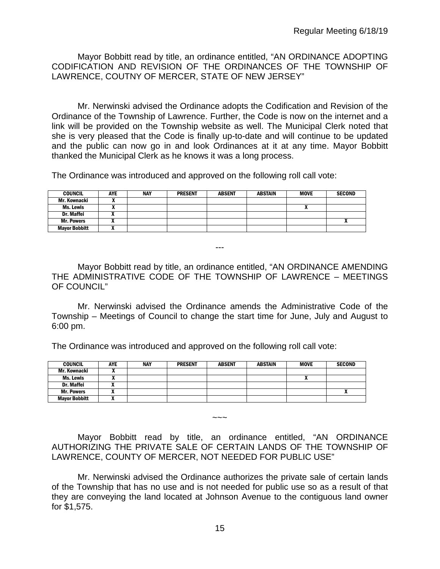Mayor Bobbitt read by title, an ordinance entitled, "AN ORDINANCE ADOPTING CODIFICATION AND REVISION OF THE ORDINANCES OF THE TOWNSHIP OF LAWRENCE, COUTNY OF MERCER, STATE OF NEW JERSEY"

Mr. Nerwinski advised the Ordinance adopts the Codification and Revision of the Ordinance of the Township of Lawrence. Further, the Code is now on the internet and a link will be provided on the Township website as well. The Municipal Clerk noted that she is very pleased that the Code is finally up-to-date and will continue to be updated and the public can now go in and look Ordinances at it at any time. Mayor Bobbitt thanked the Municipal Clerk as he knows it was a long process.

The Ordinance was introduced and approved on the following roll call vote:

| <b>COUNCIL</b>       | AYE | <b>NAY</b> | <b>PRESENT</b> | <b>ABSENT</b> | <b>ABSTAIN</b> | <b>MOVE</b>                | <b>SECOND</b> |
|----------------------|-----|------------|----------------|---------------|----------------|----------------------------|---------------|
| Mr. Kownacki         | ,,  |            |                |               |                |                            |               |
| Ms. Lewis            | ,,  |            |                |               |                | $\boldsymbol{\mathcal{L}}$ |               |
| Dr. Maffei           |     |            |                |               |                |                            |               |
| <b>Mr. Powers</b>    |     |            |                |               |                |                            |               |
| <b>Mayor Bobbitt</b> |     |            |                |               |                |                            |               |

Mayor Bobbitt read by title, an ordinance entitled, "AN ORDINANCE AMENDING THE ADMINISTRATIVE CODE OF THE TOWNSHIP OF LAWRENCE – MEETINGS OF COUNCIL"

---

Mr. Nerwinski advised the Ordinance amends the Administrative Code of the Township – Meetings of Council to change the start time for June, July and August to 6:00 pm.

The Ordinance was introduced and approved on the following roll call vote:

| <b>COUNCIL</b>       | <b>AYE</b> | NAY | <b>PRESENT</b> | <b>ABSENT</b> | <b>ABSTAIN</b> | <b>MOVE</b>                | <b>SECOND</b> |
|----------------------|------------|-----|----------------|---------------|----------------|----------------------------|---------------|
| Mr. Kownacki         |            |     |                |               |                |                            |               |
| Ms. Lewis            |            |     |                |               |                | $\boldsymbol{\mathcal{L}}$ |               |
| <b>Dr. Maffei</b>    |            |     |                |               |                |                            |               |
| <b>Mr. Powers</b>    |            |     |                |               |                |                            |               |
| <b>Mayor Bobbitt</b> |            |     |                |               |                |                            |               |

Mayor Bobbitt read by title, an ordinance entitled, "AN ORDINANCE AUTHORIZING THE PRIVATE SALE OF CERTAIN LANDS OF THE TOWNSHIP OF LAWRENCE, COUNTY OF MERCER, NOT NEEDED FOR PUBLIC USE"

 $\sim\sim\sim$ 

Mr. Nerwinski advised the Ordinance authorizes the private sale of certain lands of the Township that has no use and is not needed for public use so as a result of that they are conveying the land located at Johnson Avenue to the contiguous land owner for \$1,575.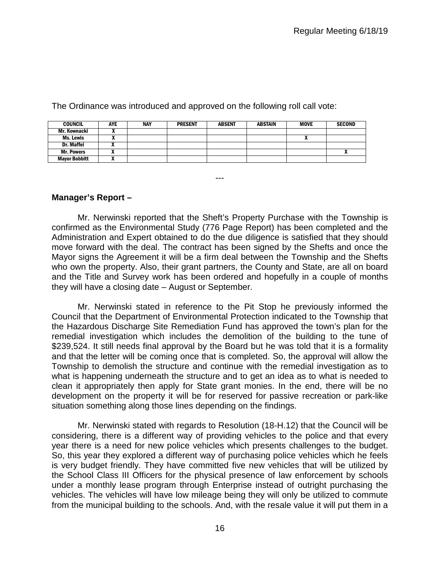| <b>COUNCIL</b>       | <b>AYE</b> | <b>NAY</b> | <b>PRESENT</b> | <b>ABSENT</b> | ABSTAIN | <b>MOVE</b> | <b>SECOND</b> |
|----------------------|------------|------------|----------------|---------------|---------|-------------|---------------|
| Mr. Kownacki         |            |            |                |               |         |             |               |
| Ms. Lewis            |            |            |                |               |         |             |               |
| Dr. Maffei           |            |            |                |               |         |             |               |
| <b>Mr. Powers</b>    |            |            |                |               |         |             | ^             |
| <b>Mayor Bobbitt</b> |            |            |                |               |         |             |               |

The Ordinance was introduced and approved on the following roll call vote:

### **Manager's Report –**

Mr. Nerwinski reported that the Sheft's Property Purchase with the Township is confirmed as the Environmental Study (776 Page Report) has been completed and the Administration and Expert obtained to do the due diligence is satisfied that they should move forward with the deal. The contract has been signed by the Shefts and once the Mayor signs the Agreement it will be a firm deal between the Township and the Shefts who own the property. Also, their grant partners, the County and State, are all on board and the Title and Survey work has been ordered and hopefully in a couple of months they will have a closing date – August or September.

---

Mr. Nerwinski stated in reference to the Pit Stop he previously informed the Council that the Department of Environmental Protection indicated to the Township that the Hazardous Discharge Site Remediation Fund has approved the town's plan for the remedial investigation which includes the demolition of the building to the tune of \$239,524. It still needs final approval by the Board but he was told that it is a formality and that the letter will be coming once that is completed. So, the approval will allow the Township to demolish the structure and continue with the remedial investigation as to what is happening underneath the structure and to get an idea as to what is needed to clean it appropriately then apply for State grant monies. In the end, there will be no development on the property it will be for reserved for passive recreation or park-like situation something along those lines depending on the findings.

Mr. Nerwinski stated with regards to Resolution (18-H.12) that the Council will be considering, there is a different way of providing vehicles to the police and that every year there is a need for new police vehicles which presents challenges to the budget. So, this year they explored a different way of purchasing police vehicles which he feels is very budget friendly. They have committed five new vehicles that will be utilized by the School Class III Officers for the physical presence of law enforcement by schools under a monthly lease program through Enterprise instead of outright purchasing the vehicles. The vehicles will have low mileage being they will only be utilized to commute from the municipal building to the schools. And, with the resale value it will put them in a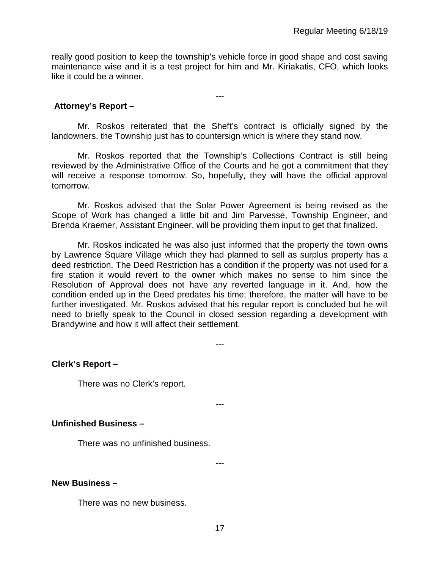really good position to keep the township's vehicle force in good shape and cost saving maintenance wise and it is a test project for him and Mr. Kiriakatis, CFO, which looks like it could be a winner.

---

**Attorney's Report –**

Mr. Roskos reiterated that the Sheft's contract is officially signed by the landowners, the Township just has to countersign which is where they stand now.

Mr. Roskos reported that the Township's Collections Contract is still being reviewed by the Administrative Office of the Courts and he got a commitment that they will receive a response tomorrow. So, hopefully, they will have the official approval tomorrow.

Mr. Roskos advised that the Solar Power Agreement is being revised as the Scope of Work has changed a little bit and Jim Parvesse, Township Engineer, and Brenda Kraemer, Assistant Engineer, will be providing them input to get that finalized.

Mr. Roskos indicated he was also just informed that the property the town owns by Lawrence Square Village which they had planned to sell as surplus property has a deed restriction. The Deed Restriction has a condition if the property was not used for a fire station it would revert to the owner which makes no sense to him since the Resolution of Approval does not have any reverted language in it. And, how the condition ended up in the Deed predates his time; therefore, the matter will have to be further investigated. Mr. Roskos advised that his regular report is concluded but he will need to briefly speak to the Council in closed session regarding a development with Brandywine and how it will affect their settlement.

### **Clerk's Report –**

There was no Clerk's report.

---

---

### **Unfinished Business –**

There was no unfinished business.

---

#### **New Business –**

There was no new business.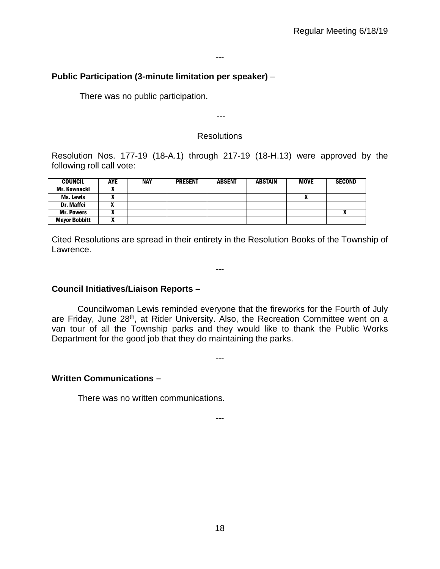#### ---

## **Public Participation (3-minute limitation per speaker)** –

There was no public participation.

### **Resolutions**

---

Resolution Nos. 177-19 (18-A.1) through 217-19 (18-H.13) were approved by the following roll call vote:

| <b>COUNCIL</b>       | <b>AYE</b> | <b>NAY</b> | <b>PRESENT</b> | <b>ABSENT</b> | <b>ABSTAIN</b> | <b>MOVE</b> | <b>SECOND</b> |
|----------------------|------------|------------|----------------|---------------|----------------|-------------|---------------|
| Mr. Kownacki         |            |            |                |               |                |             |               |
| <b>Ms. Lewis</b>     |            |            |                |               |                | "           |               |
| <b>Dr. Maffei</b>    |            |            |                |               |                |             |               |
| <b>Mr. Powers</b>    |            |            |                |               |                |             |               |
| <b>Mayor Bobbitt</b> | ~          |            |                |               |                |             |               |

Cited Resolutions are spread in their entirety in the Resolution Books of the Township of Lawrence.

---

**Council Initiatives/Liaison Reports –**

Councilwoman Lewis reminded everyone that the fireworks for the Fourth of July are Friday, June 28<sup>th</sup>, at Rider University. Also, the Recreation Committee went on a van tour of all the Township parks and they would like to thank the Public Works Department for the good job that they do maintaining the parks.

---

#### **Written Communications –**

There was no written communications.

---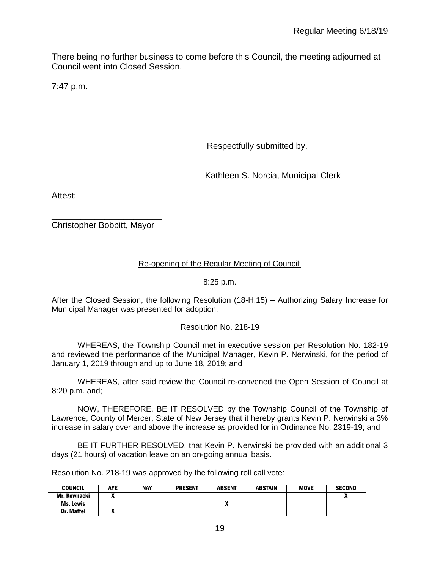There being no further business to come before this Council, the meeting adjourned at Council went into Closed Session.

7:47 p.m.

Respectfully submitted by,

 \_\_\_\_\_\_\_\_\_\_\_\_\_\_\_\_\_\_\_\_\_\_\_\_\_\_\_\_\_\_\_\_\_ Kathleen S. Norcia, Municipal Clerk

Attest:

\_\_\_\_\_\_\_\_\_\_\_\_\_\_\_\_\_\_\_\_\_\_\_ Christopher Bobbitt, Mayor

# Re-opening of the Regular Meeting of Council:

8:25 p.m.

After the Closed Session, the following Resolution (18-H.15) – Authorizing Salary Increase for Municipal Manager was presented for adoption.

#### Resolution No. 218-19

WHEREAS, the Township Council met in executive session per Resolution No. 182-19 and reviewed the performance of the Municipal Manager, Kevin P. Nerwinski, for the period of January 1, 2019 through and up to June 18, 2019; and

WHEREAS, after said review the Council re-convened the Open Session of Council at 8:20 p.m. and;

NOW, THEREFORE, BE IT RESOLVED by the Township Council of the Township of Lawrence, County of Mercer, State of New Jersey that it hereby grants Kevin P. Nerwinski a 3% increase in salary over and above the increase as provided for in Ordinance No. 2319-19; and

BE IT FURTHER RESOLVED, that Kevin P. Nerwinski be provided with an additional 3 days (21 hours) of vacation leave on an on-going annual basis.

Resolution No. 218-19 was approved by the following roll call vote:

| <b>COUNCIL</b> | <b>AYE</b> | <b>NAY</b> | <b>PRESENT</b> | <b>ABSENT</b> | <b>ABSTAIN</b> | <b>MOVE</b> | <b>SECOND</b> |
|----------------|------------|------------|----------------|---------------|----------------|-------------|---------------|
| Mr. Kownacki   |            |            |                |               |                |             |               |
| Ms. Lewis      |            |            |                |               |                |             |               |
| Dr. Maffei     | --<br>,,   |            |                |               |                |             |               |